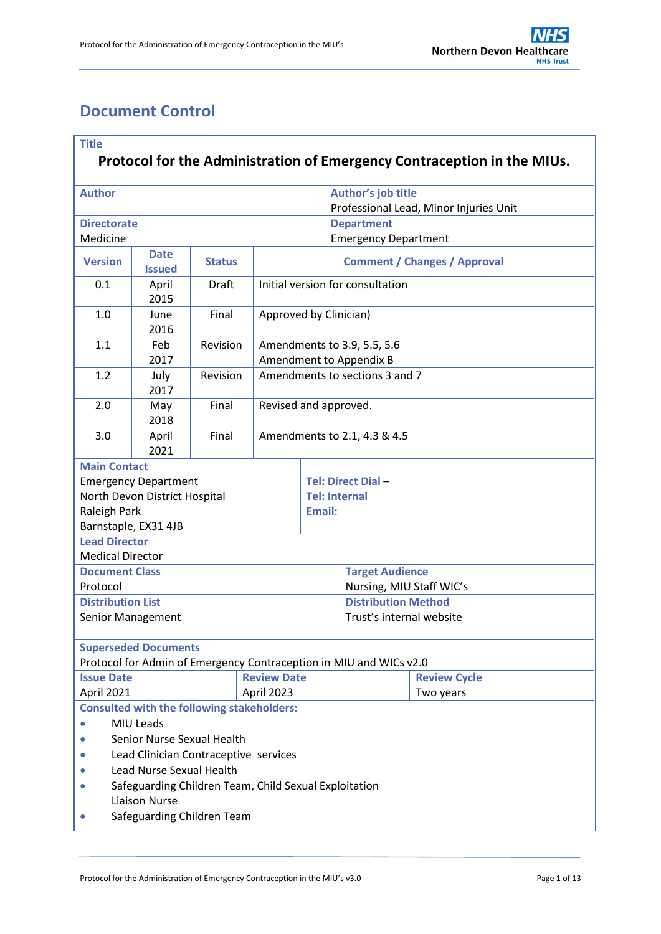# <span id="page-0-0"></span>**Document Control**

| <b>Title</b><br>Protocol for the Administration of Emergency Contraception in the MIUs. |                              |                                                   |                                                           |                                                              |                                                                    |                     |  |  |
|-----------------------------------------------------------------------------------------|------------------------------|---------------------------------------------------|-----------------------------------------------------------|--------------------------------------------------------------|--------------------------------------------------------------------|---------------------|--|--|
|                                                                                         |                              |                                                   |                                                           |                                                              |                                                                    |                     |  |  |
| <b>Author</b>                                                                           |                              |                                                   |                                                           | Author's job title<br>Professional Lead, Minor Injuries Unit |                                                                    |                     |  |  |
| <b>Directorate</b>                                                                      |                              |                                                   |                                                           | <b>Department</b>                                            |                                                                    |                     |  |  |
| Medicine                                                                                |                              |                                                   |                                                           | <b>Emergency Department</b>                                  |                                                                    |                     |  |  |
| <b>Version</b>                                                                          | <b>Date</b><br><b>Issued</b> | <b>Status</b>                                     | <b>Comment / Changes / Approval</b>                       |                                                              |                                                                    |                     |  |  |
| 0.1                                                                                     | April<br>2015                | <b>Draft</b>                                      | Initial version for consultation                          |                                                              |                                                                    |                     |  |  |
| 1.0                                                                                     | June<br>2016                 | Final                                             | Approved by Clinician)                                    |                                                              |                                                                    |                     |  |  |
| 1.1                                                                                     | Feb<br>2017                  | Revision                                          | Amendments to 3.9, 5.5, 5.6                               |                                                              |                                                                    |                     |  |  |
| 1.2                                                                                     | July<br>2017                 | Revision                                          | Amendment to Appendix B<br>Amendments to sections 3 and 7 |                                                              |                                                                    |                     |  |  |
| 2.0                                                                                     | May<br>2018                  | Final                                             | Revised and approved.                                     |                                                              |                                                                    |                     |  |  |
| 3.0                                                                                     | April<br>2021                | Final                                             | Amendments to 2.1, 4.3 & 4.5                              |                                                              |                                                                    |                     |  |  |
| <b>Main Contact</b>                                                                     |                              |                                                   |                                                           |                                                              |                                                                    |                     |  |  |
|                                                                                         | <b>Emergency Department</b>  |                                                   |                                                           | Tel: Direct Dial-                                            |                                                                    |                     |  |  |
| North Devon District Hospital                                                           |                              |                                                   |                                                           | <b>Tel: Internal</b>                                         |                                                                    |                     |  |  |
| Raleigh Park                                                                            |                              |                                                   |                                                           | Email:                                                       |                                                                    |                     |  |  |
| <b>Lead Director</b>                                                                    | Barnstaple, EX31 4JB         |                                                   |                                                           |                                                              |                                                                    |                     |  |  |
| <b>Medical Director</b>                                                                 |                              |                                                   |                                                           |                                                              |                                                                    |                     |  |  |
|                                                                                         |                              |                                                   |                                                           |                                                              | <b>Target Audience</b>                                             |                     |  |  |
| <b>Document Class</b><br>Protocol                                                       |                              |                                                   |                                                           |                                                              | Nursing, MIU Staff WIC's                                           |                     |  |  |
| <b>Distribution List</b>                                                                |                              |                                                   |                                                           |                                                              | <b>Distribution Method</b>                                         |                     |  |  |
| Senior Management                                                                       |                              |                                                   |                                                           |                                                              | Trust's internal website                                           |                     |  |  |
|                                                                                         | <b>Superseded Documents</b>  |                                                   |                                                           |                                                              | Protocol for Admin of Emergency Contraception in MIU and WICs v2.0 |                     |  |  |
| <b>Issue Date</b>                                                                       |                              |                                                   | <b>Review Date</b>                                        |                                                              |                                                                    | <b>Review Cycle</b> |  |  |
| April 2023<br>April 2021                                                                |                              |                                                   |                                                           |                                                              | Two years                                                          |                     |  |  |
|                                                                                         |                              | <b>Consulted with the following stakeholders:</b> |                                                           |                                                              |                                                                    |                     |  |  |
|                                                                                         | MIU Leads                    |                                                   |                                                           |                                                              |                                                                    |                     |  |  |
| Senior Nurse Sexual Health                                                              |                              |                                                   |                                                           |                                                              |                                                                    |                     |  |  |
| Lead Clinician Contraceptive services                                                   |                              |                                                   |                                                           |                                                              |                                                                    |                     |  |  |
| Lead Nurse Sexual Health                                                                |                              |                                                   |                                                           |                                                              |                                                                    |                     |  |  |
| Safeguarding Children Team, Child Sexual Exploitation                                   |                              |                                                   |                                                           |                                                              |                                                                    |                     |  |  |
| <b>Liaison Nurse</b>                                                                    |                              |                                                   |                                                           |                                                              |                                                                    |                     |  |  |
| Safeguarding Children Team                                                              |                              |                                                   |                                                           |                                                              |                                                                    |                     |  |  |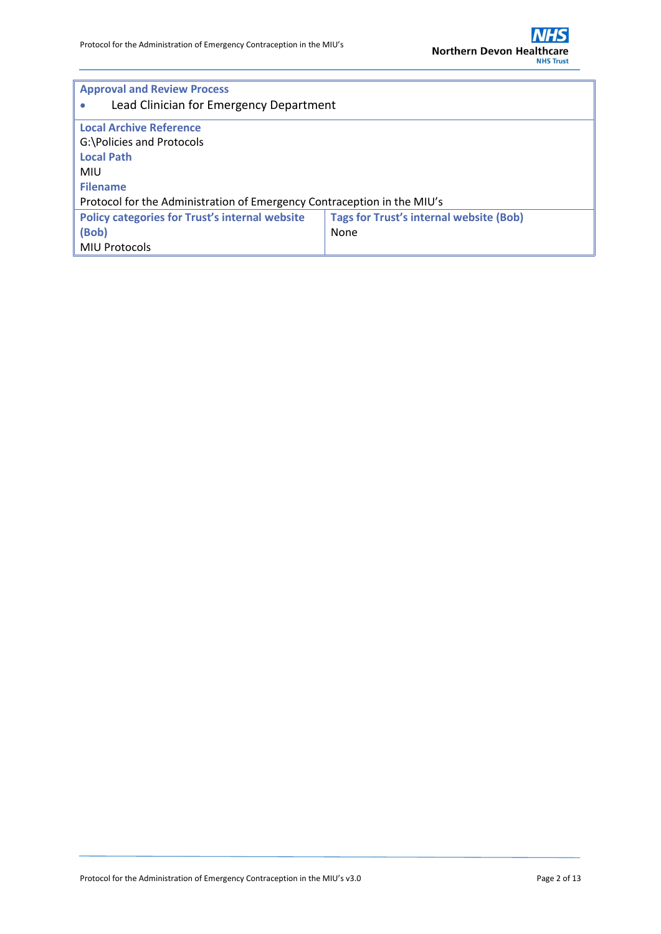

| <b>Approval and Review Process</b>                                      |                                                |  |  |  |  |
|-------------------------------------------------------------------------|------------------------------------------------|--|--|--|--|
| Lead Clinician for Emergency Department                                 |                                                |  |  |  |  |
| <b>Local Archive Reference</b>                                          |                                                |  |  |  |  |
| G:\Policies and Protocols                                               |                                                |  |  |  |  |
| <b>Local Path</b>                                                       |                                                |  |  |  |  |
| <b>MIU</b>                                                              |                                                |  |  |  |  |
| <b>Filename</b>                                                         |                                                |  |  |  |  |
| Protocol for the Administration of Emergency Contraception in the MIU's |                                                |  |  |  |  |
| <b>Policy categories for Trust's internal website</b>                   | <b>Tags for Trust's internal website (Bob)</b> |  |  |  |  |
| (Bob)                                                                   | None                                           |  |  |  |  |
| <b>MIU Protocols</b>                                                    |                                                |  |  |  |  |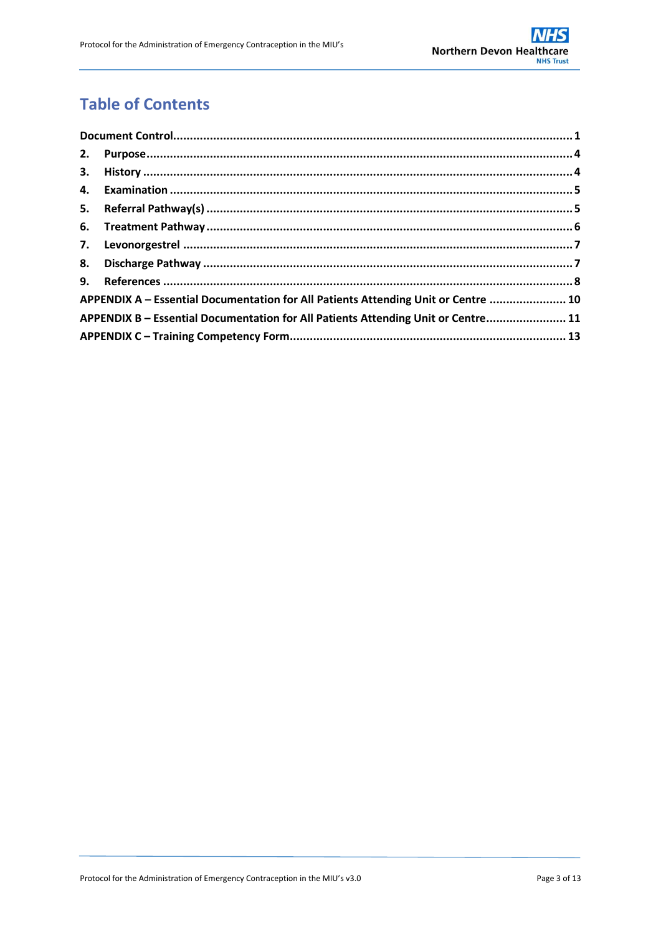# **Table of Contents**

|  | APPENDIX A - Essential Documentation for All Patients Attending Unit or Centre  10 |  |  |
|--|------------------------------------------------------------------------------------|--|--|
|  | APPENDIX B - Essential Documentation for All Patients Attending Unit or Centre 11  |  |  |
|  |                                                                                    |  |  |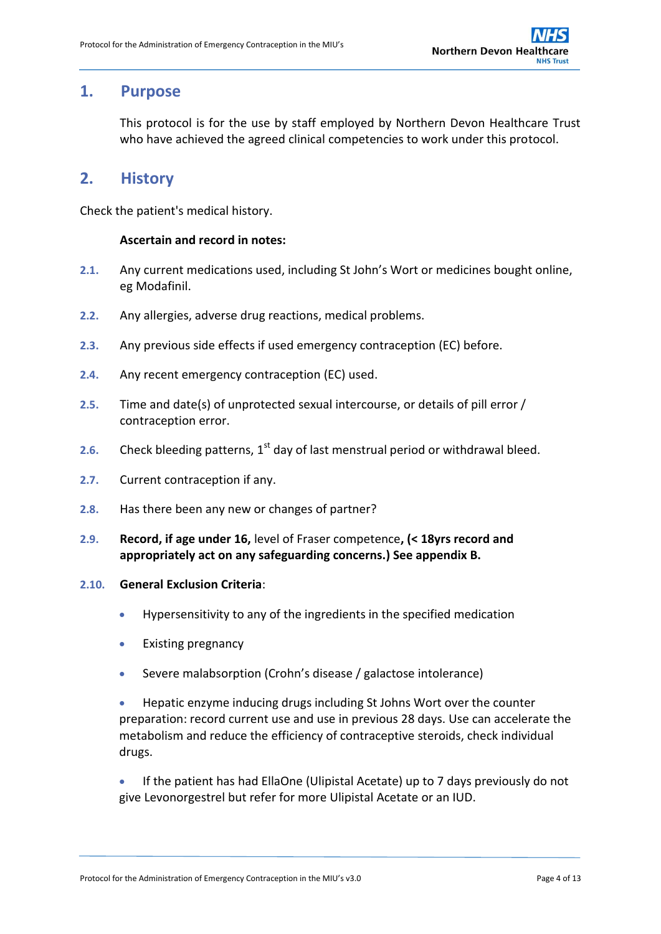## <span id="page-3-0"></span>**1. Purpose**

This protocol is for the use by staff employed by Northern Devon Healthcare Trust who have achieved the agreed clinical competencies to work under this protocol.

## <span id="page-3-1"></span>**2. History**

Check the patient's medical history.

#### **Ascertain and record in notes:**

- **2.1.** Any current medications used, including St John's Wort or medicines bought online, eg Modafinil.
- **2.2.** Any allergies, adverse drug reactions, medical problems.
- **2.3.** Any previous side effects if used emergency contraception (EC) before.
- **2.4.** Any recent emergency contraception (EC) used.
- **2.5.** Time and date(s) of unprotected sexual intercourse, or details of pill error / contraception error.
- 2.6. Check bleeding patterns, 1<sup>st</sup> day of last menstrual period or withdrawal bleed.
- **2.7.** Current contraception if any.
- **2.8.** Has there been any new or changes of partner?
- **2.9. Record, if age under 16,** level of Fraser competence**, (< 18yrs record and appropriately act on any safeguarding concerns.) See appendix B.**

#### **2.10. General Exclusion Criteria**:

- Hypersensitivity to any of the ingredients in the specified medication
- Existing pregnancy
- Severe malabsorption (Crohn's disease / galactose intolerance)

 Hepatic enzyme inducing drugs including St Johns Wort over the counter preparation: record current use and use in previous 28 days. Use can accelerate the metabolism and reduce the efficiency of contraceptive steroids, check individual drugs.

 If the patient has had EllaOne (Ulipistal Acetate) up to 7 days previously do not give Levonorgestrel but refer for more Ulipistal Acetate or an IUD.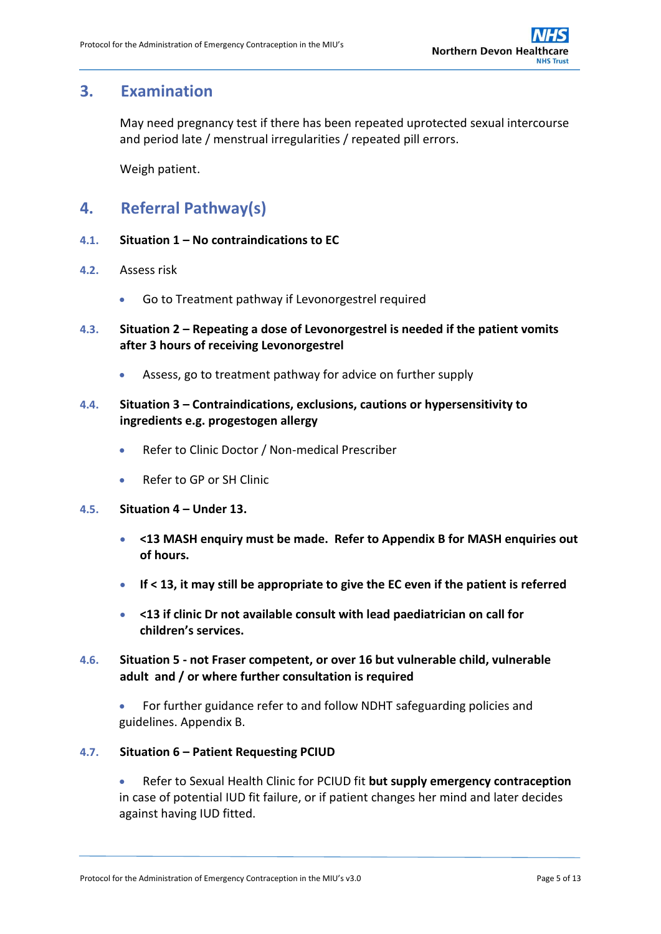## <span id="page-4-0"></span>**3. Examination**

May need pregnancy test if there has been repeated uprotected sexual intercourse and period late / menstrual irregularities / repeated pill errors.

Weigh patient.

## <span id="page-4-1"></span>**4. Referral Pathway(s)**

- **4.1. Situation 1 – No contraindications to EC**
- **4.2.** Assess risk
	- Go to Treatment pathway if Levonorgestrel required
- **4.3. Situation 2 – Repeating a dose of Levonorgestrel is needed if the patient vomits after 3 hours of receiving Levonorgestrel**
	- Assess, go to treatment pathway for advice on further supply

### **4.4. Situation 3 – Contraindications, exclusions, cautions or hypersensitivity to ingredients e.g. progestogen allergy**

- Refer to Clinic Doctor / Non-medical Prescriber
- Refer to GP or SH Clinic

#### **4.5. Situation 4 – Under 13.**

- **<13 MASH enquiry must be made. Refer to Appendix B for MASH enquiries out of hours.**
- **If < 13, it may still be appropriate to give the EC even if the patient is referred**
- **<13 if clinic Dr not available consult with lead paediatrician on call for children's services.**
- **4.6. Situation 5 - not Fraser competent, or over 16 but vulnerable child, vulnerable adult and / or where further consultation is required**

 For further guidance refer to and follow NDHT safeguarding policies and guidelines. Appendix B.

### **4.7. Situation 6 – Patient Requesting PCIUD**

 Refer to Sexual Health Clinic for PCIUD fit **but supply emergency contraception** in case of potential IUD fit failure, or if patient changes her mind and later decides against having IUD fitted.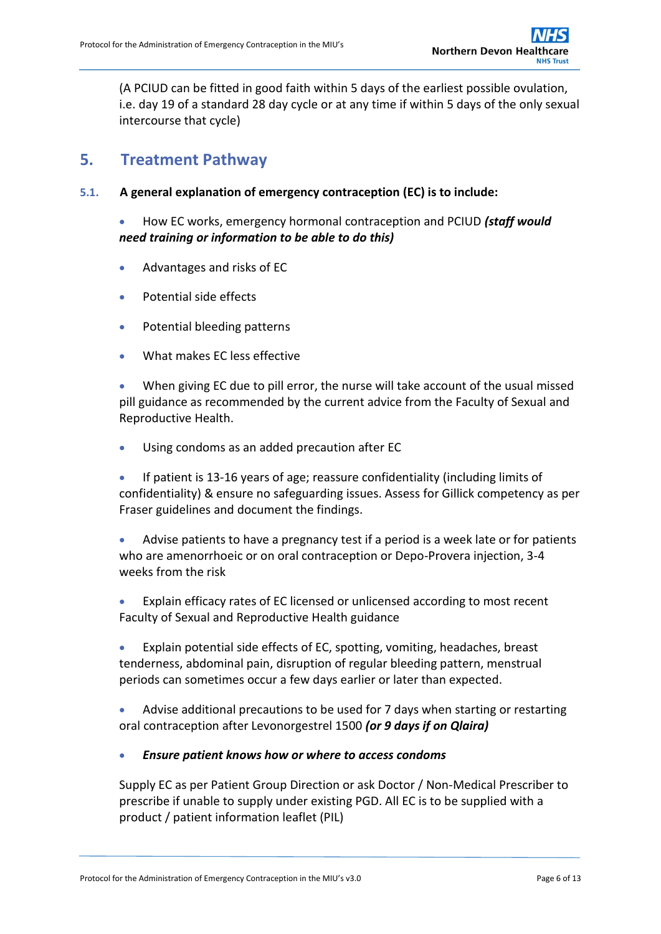(A PCIUD can be fitted in good faith within 5 days of the earliest possible ovulation, i.e. day 19 of a standard 28 day cycle or at any time if within 5 days of the only sexual intercourse that cycle)

## <span id="page-5-0"></span>**5. Treatment Pathway**

**5.1. A general explanation of emergency contraception (EC) is to include:**

 How EC works, emergency hormonal contraception and PCIUD *(staff would need training or information to be able to do this)*

- Advantages and risks of EC
- Potential side effects
- Potential bleeding patterns
- What makes EC less effective

 When giving EC due to pill error, the nurse will take account of the usual missed pill guidance as recommended by the current advice from the Faculty of Sexual and Reproductive Health.

Using condoms as an added precaution after EC

 If patient is 13-16 years of age; reassure confidentiality (including limits of confidentiality) & ensure no safeguarding issues. Assess for Gillick competency as per Fraser guidelines and document the findings.

 Advise patients to have a pregnancy test if a period is a week late or for patients who are amenorrhoeic or on oral contraception or Depo-Provera injection, 3-4 weeks from the risk

 Explain efficacy rates of EC licensed or unlicensed according to most recent Faculty of Sexual and Reproductive Health guidance

 Explain potential side effects of EC, spotting, vomiting, headaches, breast tenderness, abdominal pain, disruption of regular bleeding pattern, menstrual periods can sometimes occur a few days earlier or later than expected.

 Advise additional precautions to be used for 7 days when starting or restarting oral contraception after Levonorgestrel 1500 *(or 9 days if on Qlaira)*

#### *Ensure patient knows how or where to access condoms*

Supply EC as per Patient Group Direction or ask Doctor / Non-Medical Prescriber to prescribe if unable to supply under existing PGD. All EC is to be supplied with a product / patient information leaflet (PIL)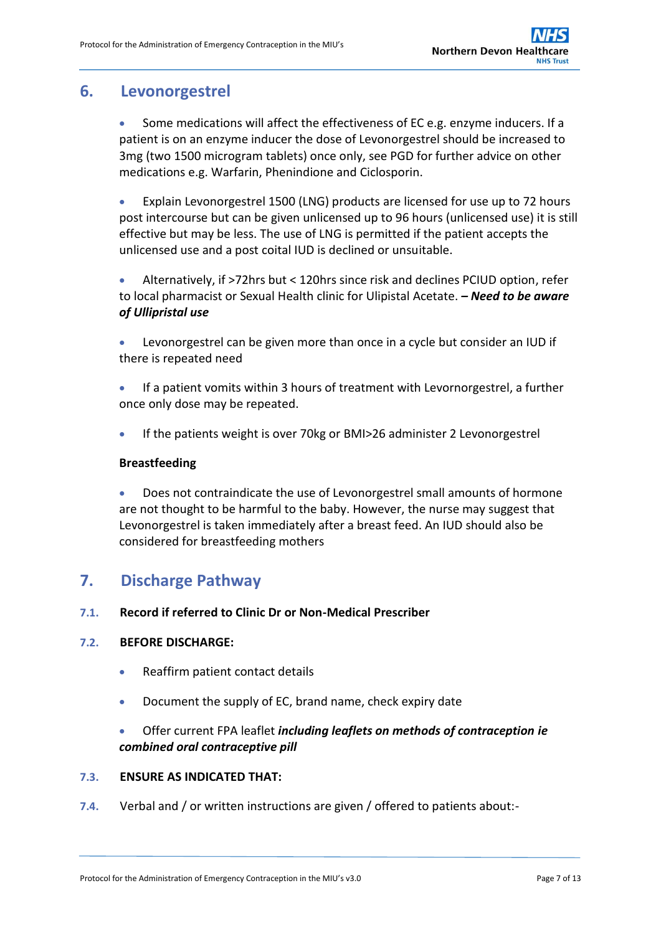## <span id="page-6-0"></span>**6. Levonorgestrel**

- Some medications will affect the effectiveness of EC e.g. enzyme inducers. If a patient is on an enzyme inducer the dose of Levonorgestrel should be increased to 3mg (two 1500 microgram tablets) once only, see PGD for further advice on other medications e.g. Warfarin, Phenindione and Ciclosporin.
- Explain Levonorgestrel 1500 (LNG) products are licensed for use up to 72 hours post intercourse but can be given unlicensed up to 96 hours (unlicensed use) it is still effective but may be less. The use of LNG is permitted if the patient accepts the unlicensed use and a post coital IUD is declined or unsuitable.
- Alternatively, if >72hrs but < 120hrs since risk and declines PCIUD option, refer to local pharmacist or Sexual Health clinic for Ulipistal Acetate. *– Need to be aware of Ullipristal use*
- Levonorgestrel can be given more than once in a cycle but consider an IUD if there is repeated need
- If a patient vomits within 3 hours of treatment with Levornorgestrel, a further once only dose may be repeated.
- If the patients weight is over 70kg or BMI>26 administer 2 Levonorgestrel

### **Breastfeeding**

 Does not contraindicate the use of Levonorgestrel small amounts of hormone are not thought to be harmful to the baby. However, the nurse may suggest that Levonorgestrel is taken immediately after a breast feed. An IUD should also be considered for breastfeeding mothers

## <span id="page-6-1"></span>**7. Discharge Pathway**

### **7.1. Record if referred to Clinic Dr or Non-Medical Prescriber**

### **7.2. BEFORE DISCHARGE:**

- Reaffirm patient contact details
- Document the supply of EC, brand name, check expiry date
- Offer current FPA leaflet *including leaflets on methods of contraception ie combined oral contraceptive pill*

### **7.3. ENSURE AS INDICATED THAT:**

**7.4.** Verbal and / or written instructions are given / offered to patients about:-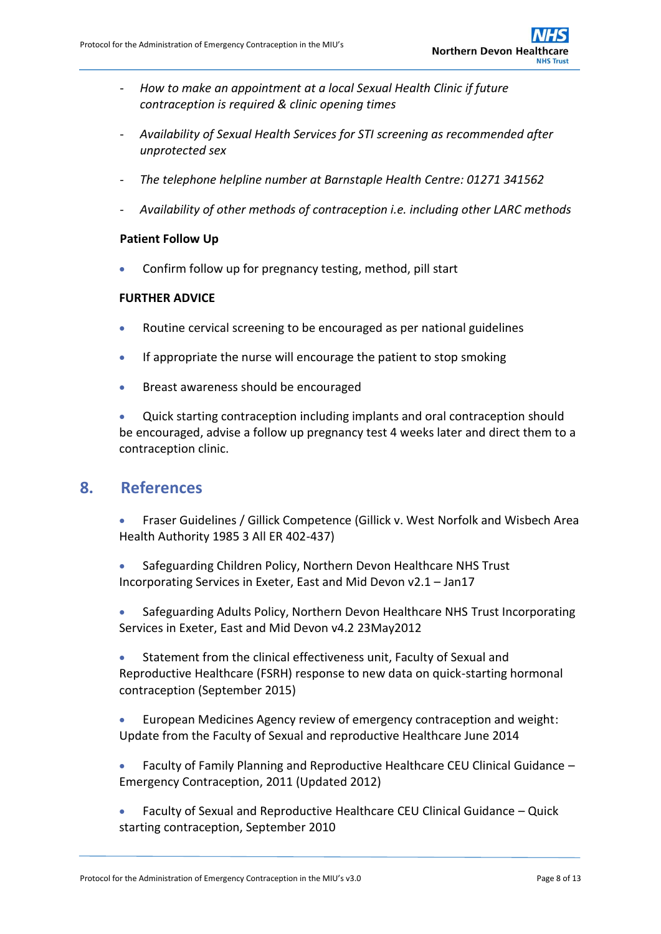- *How to make an appointment at a local Sexual Health Clinic if future contraception is required & clinic opening times*
- *Availability of Sexual Health Services for STI screening as recommended after unprotected sex*
- *The telephone helpline number at Barnstaple Health Centre: 01271 341562*
- *Availability of other methods of contraception i.e. including other LARC methods*

### **Patient Follow Up**

Confirm follow up for pregnancy testing, method, pill start

### **FURTHER ADVICE**

- Routine cervical screening to be encouraged as per national guidelines
- If appropriate the nurse will encourage the patient to stop smoking
- **Breast awareness should be encouraged**

 Quick starting contraception including implants and oral contraception should be encouraged, advise a follow up pregnancy test 4 weeks later and direct them to a contraception clinic.

### <span id="page-7-0"></span>**8. References**

 Fraser Guidelines / Gillick Competence (Gillick v. West Norfolk and Wisbech Area Health Authority 1985 3 All ER 402-437)

- Safeguarding Children Policy, Northern Devon Healthcare NHS Trust Incorporating Services in Exeter, East and Mid Devon v2.1 – Jan17
- Safeguarding Adults Policy, Northern Devon Healthcare NHS Trust Incorporating Services in Exeter, East and Mid Devon v4.2 23May2012
- Statement from the clinical effectiveness unit, Faculty of Sexual and Reproductive Healthcare (FSRH) response to new data on quick-starting hormonal contraception (September 2015)
- European Medicines Agency review of emergency contraception and weight: Update from the Faculty of Sexual and reproductive Healthcare June 2014
- Faculty of Family Planning and Reproductive Healthcare CEU Clinical Guidance Emergency Contraception, 2011 (Updated 2012)
- Faculty of Sexual and Reproductive Healthcare CEU Clinical Guidance Quick starting contraception, September 2010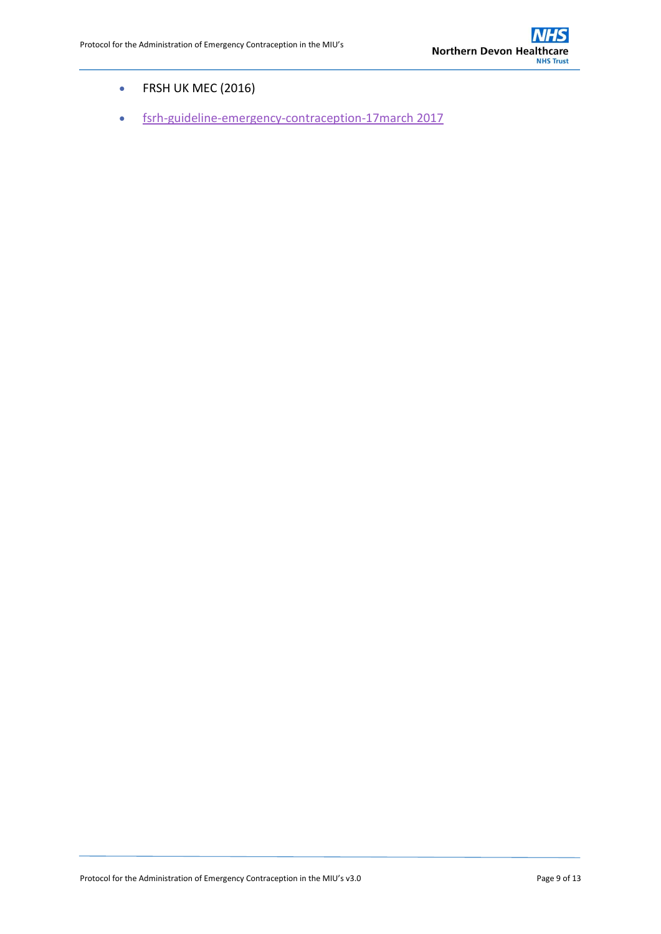- FRSH UK MEC (2016)
- [fsrh-guideline-emergency-contraception-17march 2017](https://www.fsrh.org/news/fsrh-launches-new-emergency-contraception-guideline/)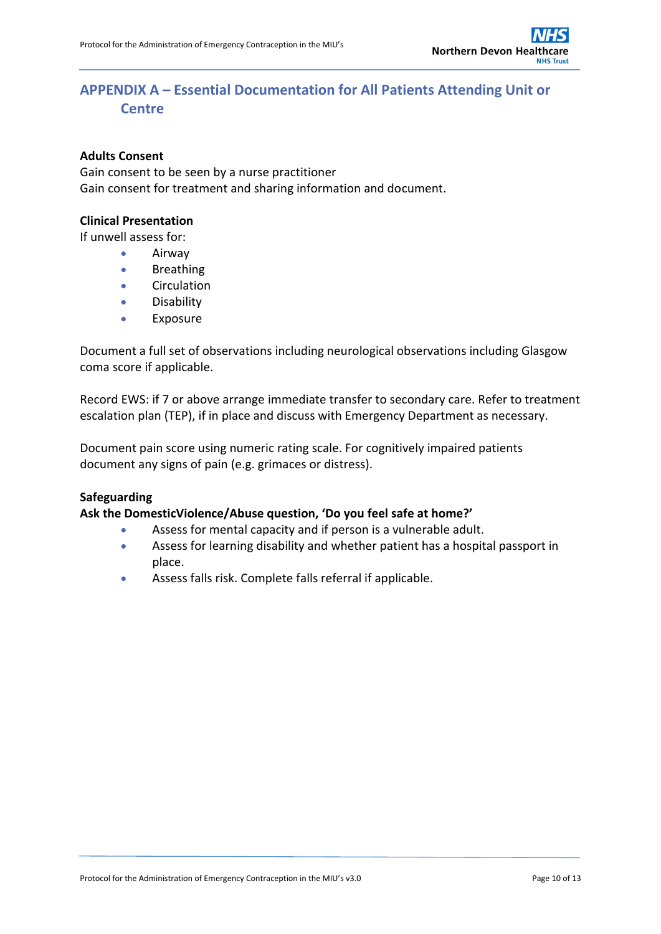## <span id="page-9-0"></span>**APPENDIX A – Essential Documentation for All Patients Attending Unit or Centre**

#### **Adults Consent**

Gain consent to be seen by a nurse practitioner Gain consent for treatment and sharing information and document.

#### **Clinical Presentation**

If unwell assess for:

- Airway
- **•** Breathing
- **•** Circulation
- **•** Disability
- Exposure

Document a full set of observations including neurological observations including Glasgow coma score if applicable.

Record EWS: if 7 or above arrange immediate transfer to secondary care. Refer to treatment escalation plan (TEP), if in place and discuss with Emergency Department as necessary.

Document pain score using numeric rating scale. For cognitively impaired patients document any signs of pain (e.g. grimaces or distress).

#### **Safeguarding**

#### **Ask the DomesticViolence/Abuse question, 'Do you feel safe at home?'**

- Assess for mental capacity and if person is a vulnerable adult.
- Assess for learning disability and whether patient has a hospital passport in place.
- Assess falls risk. Complete falls referral if applicable.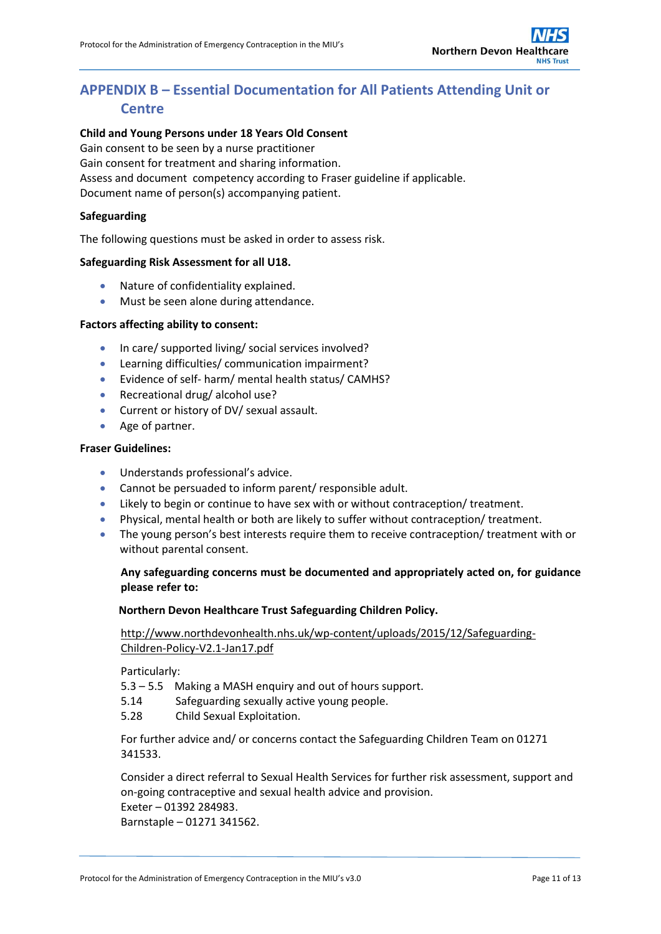## <span id="page-10-0"></span>**APPENDIX B – Essential Documentation for All Patients Attending Unit or Centre**

#### **Child and Young Persons under 18 Years Old Consent**

Gain consent to be seen by a nurse practitioner

Gain consent for treatment and sharing information.

Assess and document competency according to Fraser guideline if applicable.

Document name of person(s) accompanying patient.

#### **Safeguarding**

The following questions must be asked in order to assess risk.

#### **Safeguarding Risk Assessment for all U18.**

- Nature of confidentiality explained.
- Must be seen alone during attendance.

#### **Factors affecting ability to consent:**

- In care/ supported living/ social services involved?
- Learning difficulties/ communication impairment?
- Evidence of self- harm/ mental health status/ CAMHS?
- Recreational drug/ alcohol use?
- Current or history of DV/ sexual assault.
- Age of partner.

#### **Fraser Guidelines:**

- Understands professional's advice.
- Cannot be persuaded to inform parent/ responsible adult.
- Likely to begin or continue to have sex with or without contraception/ treatment.
- Physical, mental health or both are likely to suffer without contraception/ treatment.
- The young person's best interests require them to receive contraception/ treatment with or without parental consent.

#### **Any safeguarding concerns must be documented and appropriately acted on, for guidance please refer to:**

#### **Northern Devon Healthcare Trust Safeguarding Children Policy.**

[http://www.northdevonhealth.nhs.uk/wp-content/uploads/2015/12/Safeguarding-](http://www.northdevonhealth.nhs.uk/wp-content/uploads/2015/12/Safeguarding-Children-Policy-V2.1-Jan17.pdf)[Children-Policy-V2.1-Jan17.pdf](http://www.northdevonhealth.nhs.uk/wp-content/uploads/2015/12/Safeguarding-Children-Policy-V2.1-Jan17.pdf)

Particularly:

5.3 – 5.5 Making a MASH enquiry and out of hours support.

- 5.14 Safeguarding sexually active young people.
- 5.28 Child Sexual Exploitation.

For further advice and/ or concerns contact the Safeguarding Children Team on 01271 341533.

Consider a direct referral to Sexual Health Services for further risk assessment, support and on-going contraceptive and sexual health advice and provision. Exeter – 01392 284983.

Barnstaple – 01271 341562.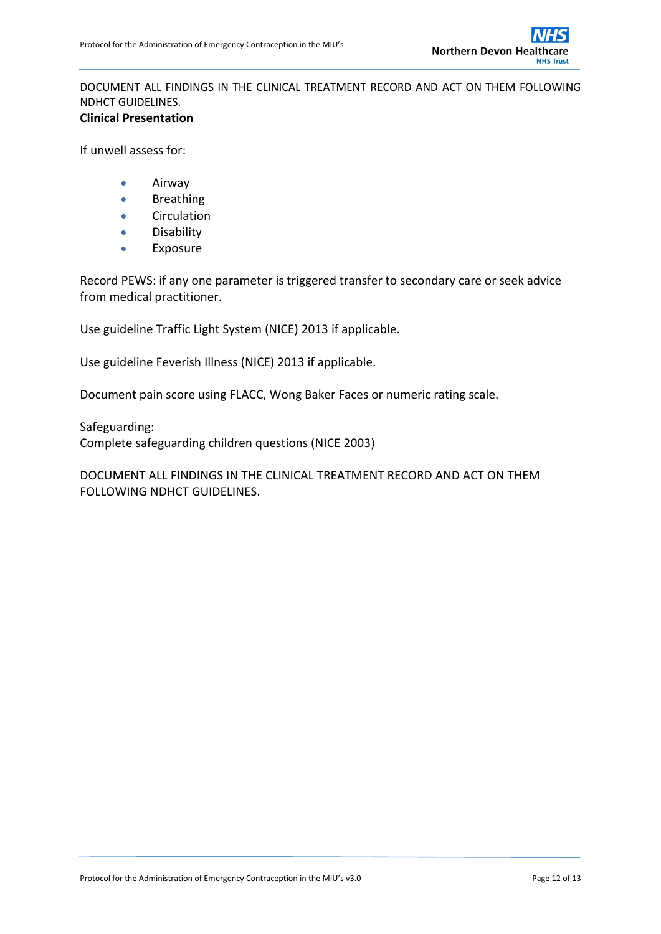DOCUMENT ALL FINDINGS IN THE CLINICAL TREATMENT RECORD AND ACT ON THEM FOLLOWING NDHCT GUIDELINES. **Clinical Presentation**

If unwell assess for:

- Airway
- **•** Breathing
- **•** Circulation
- **•** Disability
- Exposure

Record PEWS: if any one parameter is triggered transfer to secondary care or seek advice from medical practitioner.

Use guideline Traffic Light System (NICE) 2013 if applicable.

Use guideline Feverish Illness (NICE) 2013 if applicable.

Document pain score using FLACC, Wong Baker Faces or numeric rating scale.

Safeguarding: Complete safeguarding children questions (NICE 2003)

DOCUMENT ALL FINDINGS IN THE CLINICAL TREATMENT RECORD AND ACT ON THEM FOLLOWING NDHCT GUIDELINES.